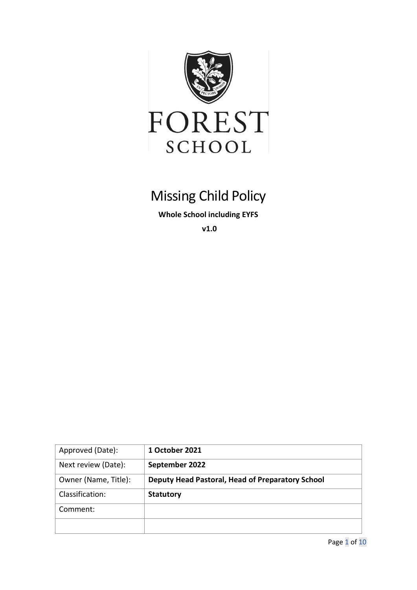

# Missing Child Policy

**Whole School including EYFS**

**v1.0**

| Approved (Date):     | 1 October 2021                                   |
|----------------------|--------------------------------------------------|
| Next review (Date):  | September 2022                                   |
| Owner (Name, Title): | Deputy Head Pastoral, Head of Preparatory School |
| Classification:      | <b>Statutory</b>                                 |
| Comment:             |                                                  |
|                      |                                                  |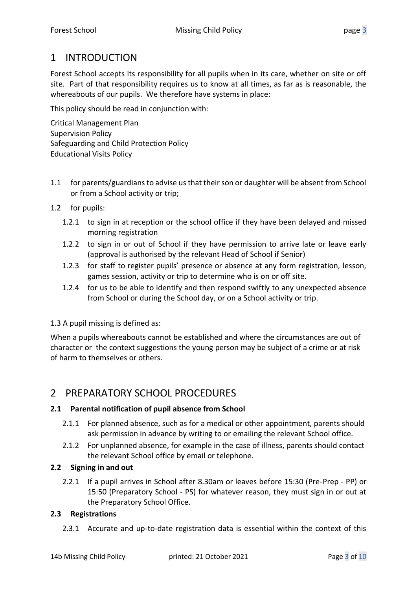# 1 INTRODUCTION

Forest School accepts its responsibility for all pupils when in its care, whether on site or off site. Part of that responsibility requires us to know at all times, as far as is reasonable, the whereabouts of our pupils. We therefore have systems in place:

This policy should be read in conjunction with:

Critical Management Plan Supervision Policy Safeguarding and Child Protection Policy Educational Visits Policy

- 1.1 for parents/guardians to advise us that their son or daughter will be absent from School or from a School activity or trip;
- 1.2 for pupils:
	- 1.2.1 to sign in at reception or the school office if they have been delayed and missed morning registration
	- 1.2.2 to sign in or out of School if they have permission to arrive late or leave early (approval is authorised by the relevant Head of School if Senior)
	- 1.2.3 for staff to register pupils' presence or absence at any form registration, lesson, games session, activity or trip to determine who is on or off site.
	- 1.2.4 for us to be able to identify and then respond swiftly to any unexpected absence from School or during the School day, or on a School activity or trip.

# 1.3 A pupil missing is defined as:

When a pupils whereabouts cannot be established and where the circumstances are out of character or the context suggestions the young person may be subject of a crime or at risk of harm to themselves or others.

# 2 PREPARATORY SCHOOL PROCEDURES

# **2.1 Parental notification of pupil absence from School**

- 2.1.1 For planned absence, such as for a medical or other appointment, parents should ask permission in advance by writing to or emailing the relevant School office.
- 2.1.2 For unplanned absence, for example in the case of illness, parents should contact the relevant School office by email or telephone.

# **2.2 Signing in and out**

2.2.1 If a pupil arrives in School after 8.30am or leaves before 15:30 (Pre-Prep - PP) or 15:50 (Preparatory School - PS) for whatever reason, they must sign in or out at the Preparatory School Office.

### **2.3 Registrations**

2.3.1 Accurate and up-to-date registration data is essential within the context of this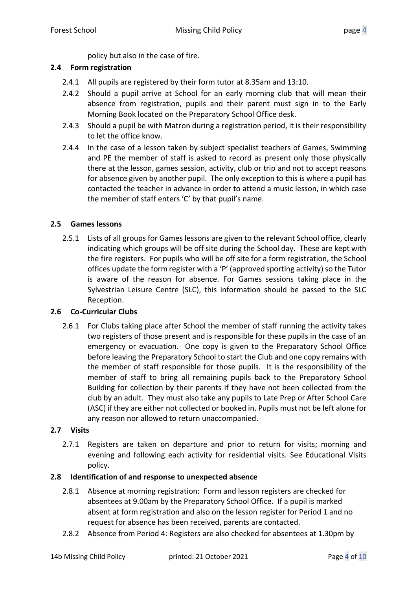policy but also in the case of fire.

#### **2.4 Form registration**

- 2.4.1 All pupils are registered by their form tutor at 8.35am and 13:10.
- 2.4.2 Should a pupil arrive at School for an early morning club that will mean their absence from registration, pupils and their parent must sign in to the Early Morning Book located on the Preparatory School Office desk.
- 2.4.3 Should a pupil be with Matron during a registration period, it is their responsibility to let the office know.
- 2.4.4 In the case of a lesson taken by subject specialist teachers of Games, Swimming and PE the member of staff is asked to record as present only those physically there at the lesson, games session, activity, club or trip and not to accept reasons for absence given by another pupil. The only exception to this is where a pupil has contacted the teacher in advance in order to attend a music lesson, in which case the member of staff enters 'C' by that pupil's name.

### **2.5 Games lessons**

2.5.1 Lists of all groups for Games lessons are given to the relevant School office, clearly indicating which groups will be off site during the School day. These are kept with the fire registers. For pupils who will be off site for a form registration, the School offices update the form register with a 'P' (approved sporting activity) so the Tutor is aware of the reason for absence. For Games sessions taking place in the Sylvestrian Leisure Centre (SLC), this information should be passed to the SLC Reception.

### **2.6 Co-Curricular Clubs**

2.6.1 For Clubs taking place after School the member of staff running the activity takes two registers of those present and is responsible for these pupils in the case of an emergency or evacuation. One copy is given to the Preparatory School Office before leaving the Preparatory School to start the Club and one copy remains with the member of staff responsible for those pupils. It is the responsibility of the member of staff to bring all remaining pupils back to the Preparatory School Building for collection by their parents if they have not been collected from the club by an adult. They must also take any pupils to Late Prep or After School Care (ASC) if they are either not collected or booked in. Pupils must not be left alone for any reason nor allowed to return unaccompanied.

#### **2.7 Visits**

2.7.1 Registers are taken on departure and prior to return for visits; morning and evening and following each activity for residential visits. See Educational Visits policy.

#### **2.8 Identification of and response to unexpected absence**

- 2.8.1 Absence at morning registration: Form and lesson registers are checked for absentees at 9.00am by the Preparatory School Office. If a pupil is marked absent at form registration and also on the lesson register for Period 1 and no request for absence has been received, parents are contacted.
- 2.8.2 Absence from Period 4: Registers are also checked for absentees at 1.30pm by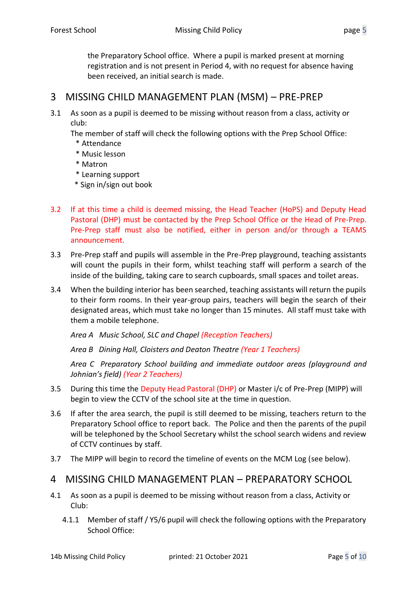the Preparatory School office. Where a pupil is marked present at morning registration and is not present in Period 4, with no request for absence having been received, an initial search is made.

# 3 MISSING CHILD MANAGEMENT PLAN (MSM) – PRE-PREP

3.1 As soon as a pupil is deemed to be missing without reason from a class, activity or club:

The member of staff will check the following options with the Prep School Office:

- \* Attendance
- \* Music lesson
- \* Matron
- \* Learning support
- \* Sign in/sign out book
- 3.2 If at this time a child is deemed missing, the Head Teacher (HoPS) and Deputy Head Pastoral (DHP) must be contacted by the Prep School Office or the Head of Pre-Prep. Pre-Prep staff must also be notified, either in person and/or through a TEAMS announcement.
- 3.3 Pre-Prep staff and pupils will assemble in the Pre-Prep playground, teaching assistants will count the pupils in their form, whilst teaching staff will perform a search of the inside of the building, taking care to search cupboards, small spaces and toilet areas.
- 3.4 When the building interior has been searched, teaching assistants will return the pupils to their form rooms. In their year-group pairs, teachers will begin the search of their designated areas, which must take no longer than 15 minutes. All staff must take with them a mobile telephone.

*Area A Music School, SLC and Chapel (Reception Teachers)*

*Area B Dining Hall, Cloisters and Deaton Theatre (Year 1 Teachers)*

*Area C Preparatory School building and immediate outdoor areas (playground and Johnian's field) (Year 2 Teachers)*

- 3.5 During this time the Deputy Head Pastoral (DHP) or Master i/c of Pre-Prep (MIPP) will begin to view the CCTV of the school site at the time in question.
- 3.6 If after the area search, the pupil is still deemed to be missing, teachers return to the Preparatory School office to report back. The Police and then the parents of the pupil will be telephoned by the School Secretary whilst the school search widens and review of CCTV continues by staff.
- 3.7 The MIPP will begin to record the timeline of events on the MCM Log (see below).

# 4 MISSING CHILD MANAGEMENT PLAN – PREPARATORY SCHOOL

- 4.1 As soon as a pupil is deemed to be missing without reason from a class, Activity or Club:
	- 4.1.1 Member of staff / Y5/6 pupil will check the following options with the Preparatory School Office: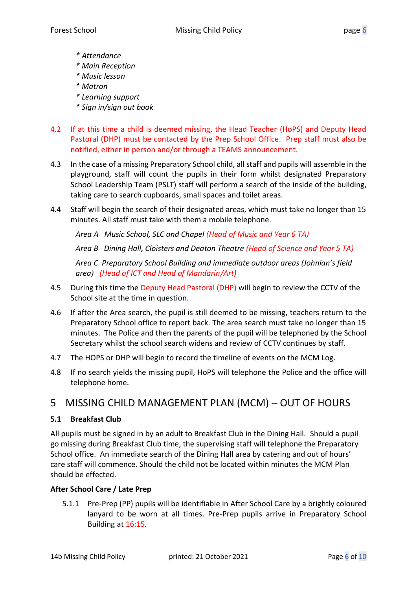- *\* Attendance*
- *\* Main Reception*
- *\* Music lesson*
- *\* Matron*
- *\* Learning support*
- *\* Sign in/sign out book*
- 4.2 If at this time a child is deemed missing, the Head Teacher (HoPS) and Deputy Head Pastoral (DHP) must be contacted by the Prep School Office. Prep staff must also be notified, either in person and/or through a TEAMS announcement.
- 4.3 In the case of a missing Preparatory School child, all staff and pupils will assemble in the playground, staff will count the pupils in their form whilst designated Preparatory School Leadership Team (PSLT) staff will perform a search of the inside of the building, taking care to search cupboards, small spaces and toilet areas.
- 4.4 Staff will begin the search of their designated areas, which must take no longer than 15 minutes. All staff must take with them a mobile telephone.

*Area A Music School, SLC and Chapel (Head of Music and Year 6 TA)*

*Area B Dining Hall, Cloisters and Deaton Theatre (Head of Science and Year 5 TA)*

*Area C Preparatory School Building and immediate outdoor areas (Johnian's field area) (Head of ICT and Head of Mandarin/Art)* 

- 4.5 During this time the Deputy Head Pastoral (DHP) will begin to review the CCTV of the School site at the time in question.
- 4.6 If after the Area search, the pupil is still deemed to be missing, teachers return to the Preparatory School office to report back. The area search must take no longer than 15 minutes. The Police and then the parents of the pupil will be telephoned by the School Secretary whilst the school search widens and review of CCTV continues by staff.
- 4.7 The HOPS or DHP will begin to record the timeline of events on the MCM Log.
- 4.8 If no search yields the missing pupil, HoPS will telephone the Police and the office will telephone home.

# 5 MISSING CHILD MANAGEMENT PLAN (MCM) – OUT OF HOURS

### **5.1 Breakfast Club**

All pupils must be signed in by an adult to Breakfast Club in the Dining Hall. Should a pupil go missing during Breakfast Club time, the supervising staff will telephone the Preparatory School office. An immediate search of the Dining Hall area by catering and out of hours' care staff will commence. Should the child not be located within minutes the MCM Plan should be effected.

# **After School Care / Late Prep**

5.1.1 Pre-Prep (PP) pupils will be identifiable in After School Care by a brightly coloured lanyard to be worn at all times. Pre-Prep pupils arrive in Preparatory School Building at 16:15.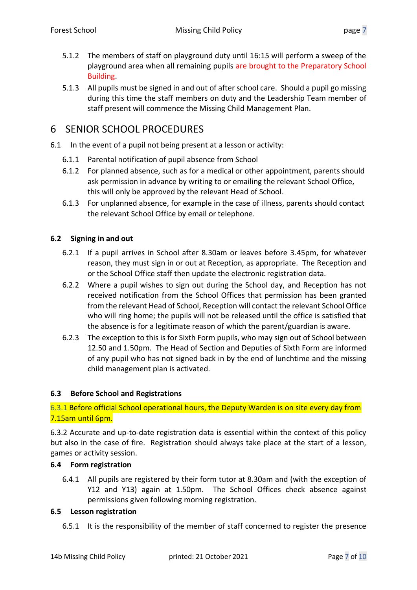- 5.1.2 The members of staff on playground duty until 16:15 will perform a sweep of the playground area when all remaining pupils are brought to the Preparatory School Building.
- 5.1.3 All pupils must be signed in and out of after school care. Should a pupil go missing during this time the staff members on duty and the Leadership Team member of staff present will commence the Missing Child Management Plan.

# 6 SENIOR SCHOOL PROCEDURES

- 6.1 In the event of a pupil not being present at a lesson or activity:
	- 6.1.1 Parental notification of pupil absence from School
	- 6.1.2 For planned absence, such as for a medical or other appointment, parents should ask permission in advance by writing to or emailing the relevant School Office, this will only be approved by the relevant Head of School.
	- 6.1.3 For unplanned absence, for example in the case of illness, parents should contact the relevant School Office by email or telephone.

# **6.2 Signing in and out**

- 6.2.1 If a pupil arrives in School after 8.30am or leaves before 3.45pm, for whatever reason, they must sign in or out at Reception, as appropriate. The Reception and or the School Office staff then update the electronic registration data.
- 6.2.2 Where a pupil wishes to sign out during the School day, and Reception has not received notification from the School Offices that permission has been granted from the relevant Head of School, Reception will contact the relevant School Office who will ring home; the pupils will not be released until the office is satisfied that the absence is for a legitimate reason of which the parent/guardian is aware.
- 6.2.3 The exception to this is for Sixth Form pupils, who may sign out of School between 12.50 and 1.50pm. The Head of Section and Deputies of Sixth Form are informed of any pupil who has not signed back in by the end of lunchtime and the missing child management plan is activated.

# **6.3 Before School and Registrations**

# 6.3.1 Before official School operational hours, the Deputy Warden is on site every day from 7.15am until 6pm.

6.3.2 Accurate and up-to-date registration data is essential within the context of this policy but also in the case of fire. Registration should always take place at the start of a lesson, games or activity session.

### **6.4 Form registration**

6.4.1 All pupils are registered by their form tutor at 8.30am and (with the exception of Y12 and Y13) again at 1.50pm. The School Offices check absence against permissions given following morning registration.

### **6.5 Lesson registration**

6.5.1 It is the responsibility of the member of staff concerned to register the presence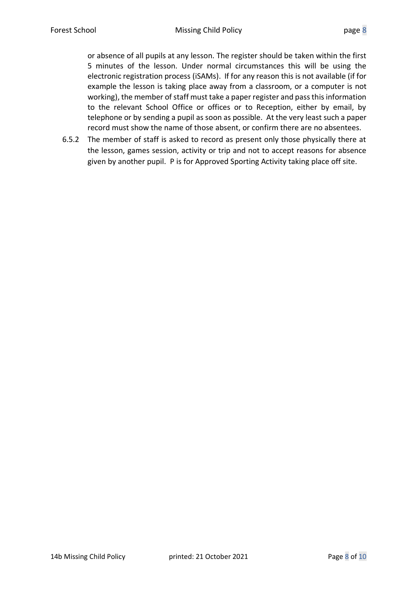or absence of all pupils at any lesson. The register should be taken within the first 5 minutes of the lesson. Under normal circumstances this will be using the electronic registration process (iSAMs). If for any reason this is not available (if for example the lesson is taking place away from a classroom, or a computer is not working), the member of staff must take a paper register and pass this information to the relevant School Office or offices or to Reception, either by email, by telephone or by sending a pupil as soon as possible. At the very least such a paper record must show the name of those absent, or confirm there are no absentees.

6.5.2 The member of staff is asked to record as present only those physically there at the lesson, games session, activity or trip and not to accept reasons for absence given by another pupil. P is for Approved Sporting Activity taking place off site.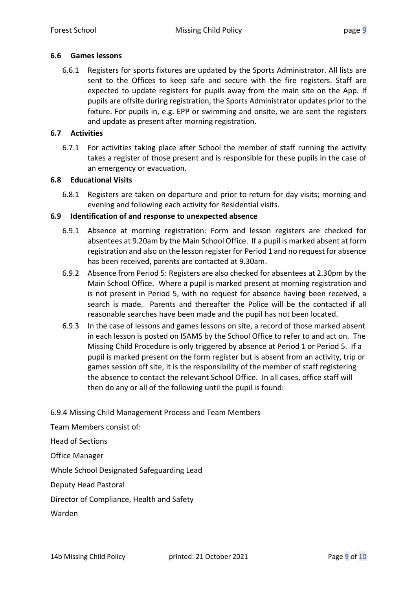#### **6.6 Games lessons**

6.6.1 Registers for sports fixtures are updated by the Sports Administrator. All lists are sent to the Offices to keep safe and secure with the fire registers. Staff are expected to update registers for pupils away from the main site on the App. If pupils are offsite during registration, the Sports Administrator updates prior to the fixture. For pupils in, e.g. EPP or swimming and onsite, we are sent the registers and update as present after morning registration.

#### **6.7 Activities**

6.7.1 For activities taking place after School the member of staff running the activity takes a register of those present and is responsible for these pupils in the case of an emergency or evacuation.

#### **6.8 Educational Visits**

6.8.1 Registers are taken on departure and prior to return for day visits; morning and evening and following each activity for Residential visits.

#### **6.9 Identification of and response to unexpected absence**

- 6.9.1 Absence at morning registration: Form and lesson registers are checked for absentees at 9.20am by the Main School Office. If a pupil is marked absent at form registration and also on the lesson register for Period 1 and no request for absence has been received, parents are contacted at 9.30am.
- 6.9.2 Absence from Period 5: Registers are also checked for absentees at 2.30pm by the Main School Office. Where a pupil is marked present at morning registration and is not present in Period 5, with no request for absence having been received, a search is made. Parents and thereafter the Police will be the contacted if all reasonable searches have been made and the pupil has not been located.
- 6.9.3 In the case of lessons and games lessons on site, a record of those marked absent in each lesson is posted on ISAMS by the School Office to refer to and act on. The Missing Child Procedure is only triggered by absence at Period 1 or Period 5. If a pupil is marked present on the form register but is absent from an activity, trip or games session off site, it is the responsibility of the member of staff registering the absence to contact the relevant School Office. In all cases, office staff will then do any or all of the following until the pupil is found:

### 6.9.4 Missing Child Management Process and Team Members

Team Members consist of: Head of Sections Office Manager Whole School Designated Safeguarding Lead Deputy Head Pastoral Director of Compliance, Health and Safety

Warden